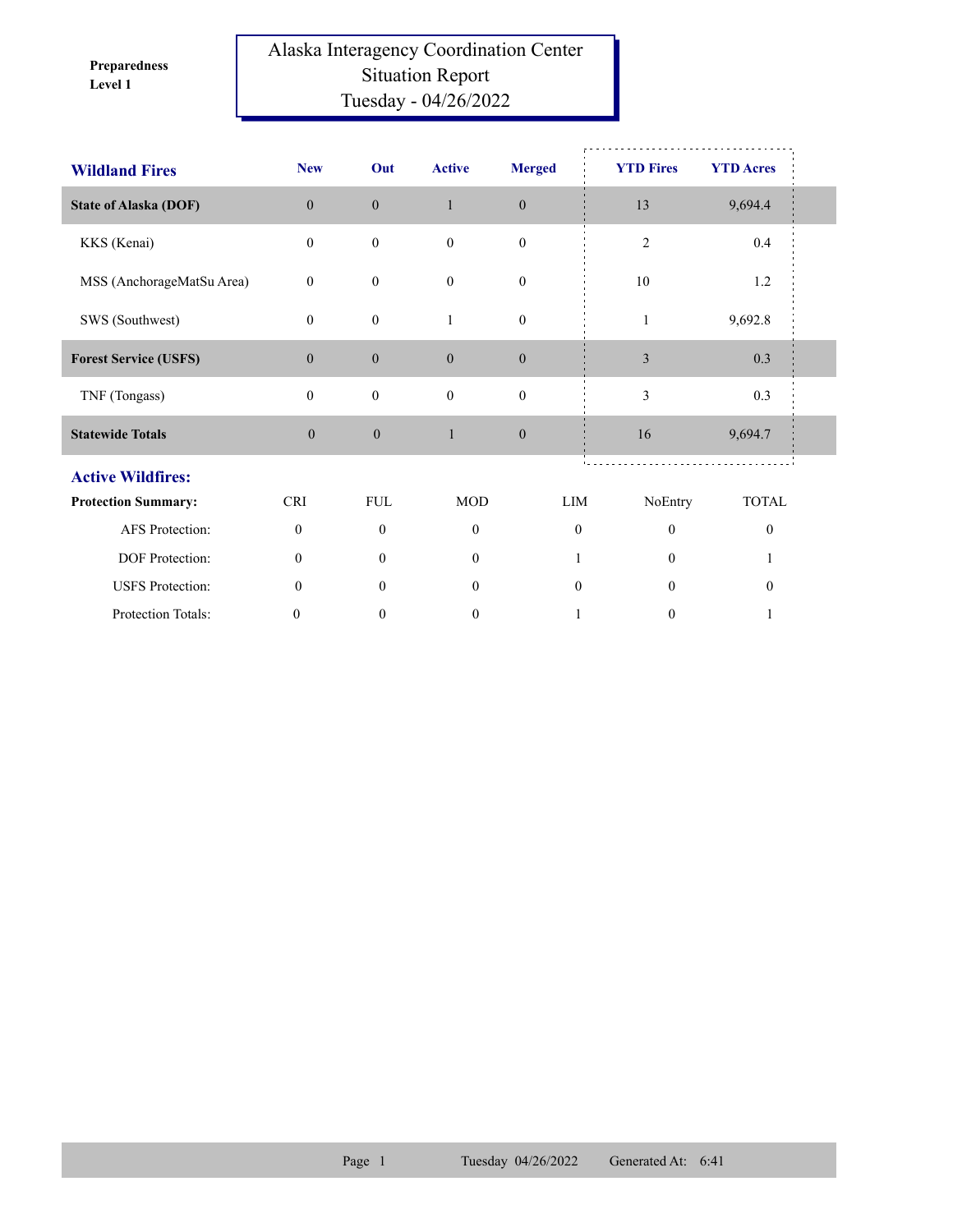**Level 1 Preparedness** 

## Alaska Interagency Coordination Center Situation Report Tuesday - 04/26/2022

| <b>Wildland Fires</b>        | <b>New</b>       | Out              | <b>Active</b>    | <b>Merged</b>    | <b>YTD Fires</b> | <b>YTD Acres</b> |  |
|------------------------------|------------------|------------------|------------------|------------------|------------------|------------------|--|
| <b>State of Alaska (DOF)</b> | $\overline{0}$   | $\boldsymbol{0}$ | $\mathbf{1}$     | $\boldsymbol{0}$ | 13               | 9,694.4          |  |
| KKS (Kenai)                  | $\overline{0}$   | $\boldsymbol{0}$ | $\mathbf{0}$     | $\boldsymbol{0}$ | $\overline{c}$   | 0.4              |  |
| MSS (AnchorageMatSu Area)    | $\overline{0}$   | $\boldsymbol{0}$ | $\mathbf{0}$     | $\boldsymbol{0}$ | 10               | 1.2              |  |
| SWS (Southwest)              | $\overline{0}$   | $\boldsymbol{0}$ | 1                | $\boldsymbol{0}$ | $\mathbf{1}$     | 9,692.8          |  |
| <b>Forest Service (USFS)</b> | $\overline{0}$   | $\boldsymbol{0}$ | $\boldsymbol{0}$ | $\boldsymbol{0}$ | $\mathfrak{Z}$   | 0.3              |  |
| TNF (Tongass)                | $\overline{0}$   | $\boldsymbol{0}$ | $\mathbf{0}$     | $\boldsymbol{0}$ | 3                | 0.3              |  |
| <b>Statewide Totals</b>      | $\overline{0}$   | $\boldsymbol{0}$ | $\mathbf{1}$     | $\boldsymbol{0}$ | 16               | 9,694.7          |  |
| <b>Active Wildfires:</b>     |                  |                  |                  |                  |                  |                  |  |
| <b>Protection Summary:</b>   | <b>CRI</b>       | <b>FUL</b>       | <b>MOD</b>       | LIM              | NoEntry          | <b>TOTAL</b>     |  |
| AFS Protection:              | $\mathbf{0}$     | $\theta$         | $\theta$         | $\theta$         | $\theta$         | $\mathbf{0}$     |  |
| DOF Protection:              | $\theta$         | $\theta$         | $\theta$         |                  | $\Omega$         |                  |  |
| <b>USFS</b> Protection:      | $\theta$         | $\Omega$         | $\overline{0}$   | $\mathbf{0}$     | $\Omega$         | $\boldsymbol{0}$ |  |
| Protection Totals:           | $\boldsymbol{0}$ | $\mathbf{0}$     | $\mathbf{0}$     |                  | $\boldsymbol{0}$ |                  |  |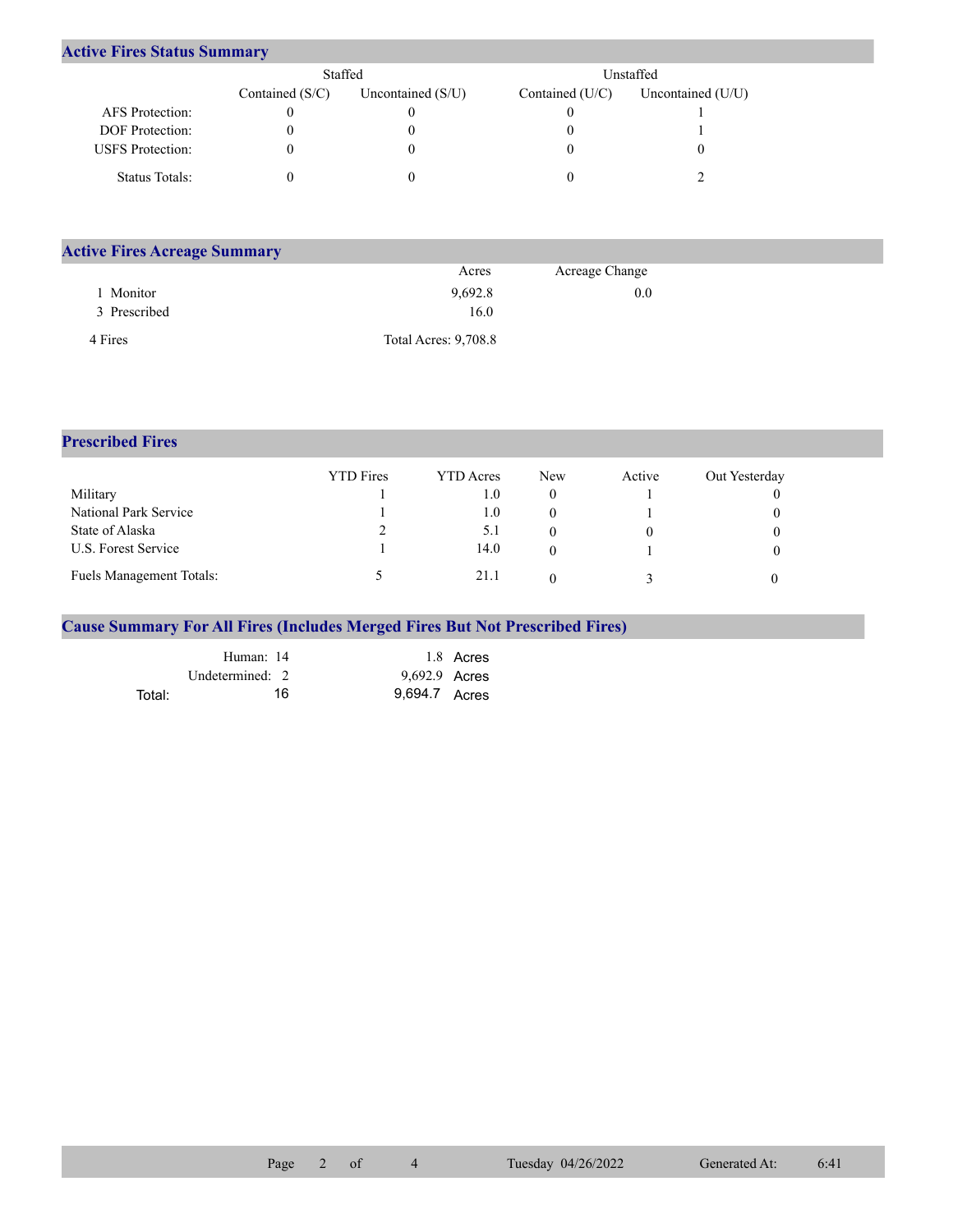## **Active Fires Status Summary**

|                         | Staffed           |                     | Unstaffed       |                     |  |  |
|-------------------------|-------------------|---------------------|-----------------|---------------------|--|--|
|                         | Contained $(S/C)$ | Uncontained $(S/U)$ | Contained (U/C) | Uncontained $(U/U)$ |  |  |
| AFS Protection:         |                   |                     |                 |                     |  |  |
| <b>DOF</b> Protection:  |                   |                     |                 |                     |  |  |
| <b>USFS</b> Protection: |                   |                     |                 |                     |  |  |
| Status Totals:          |                   |                     |                 |                     |  |  |

| <b>Active Fires Acreage Summary</b> |                             |                |  |
|-------------------------------------|-----------------------------|----------------|--|
|                                     | Acres                       | Acreage Change |  |
| Monitor                             | 9,692.8                     | 0.0            |  |
| 3 Prescribed                        | 16.0                        |                |  |
| 4 Fires                             | <b>Total Acres: 9,708.8</b> |                |  |

## **Prescribed Fires**

|                                 | <b>YTD</b> Fires | <b>YTD</b> Acres | New | Active | Out Yesterday |
|---------------------------------|------------------|------------------|-----|--------|---------------|
| Military                        |                  | 1.0              |     |        |               |
| National Park Service           |                  | 1.0              |     |        |               |
| State of Alaska                 |                  | 5.1              |     |        |               |
| U.S. Forest Service             |                  | 14.0             |     |        |               |
| <b>Fuels Management Totals:</b> |                  | 21.1             |     |        |               |

## **Cause Summary For All Fires (Includes Merged Fires But Not Prescribed Fires)**

|        | Human: 14       | 1.8 Acres     |
|--------|-----------------|---------------|
|        | Undetermined: 2 | 9,692.9 Acres |
| Total: | 16              | 9.694.7 Acres |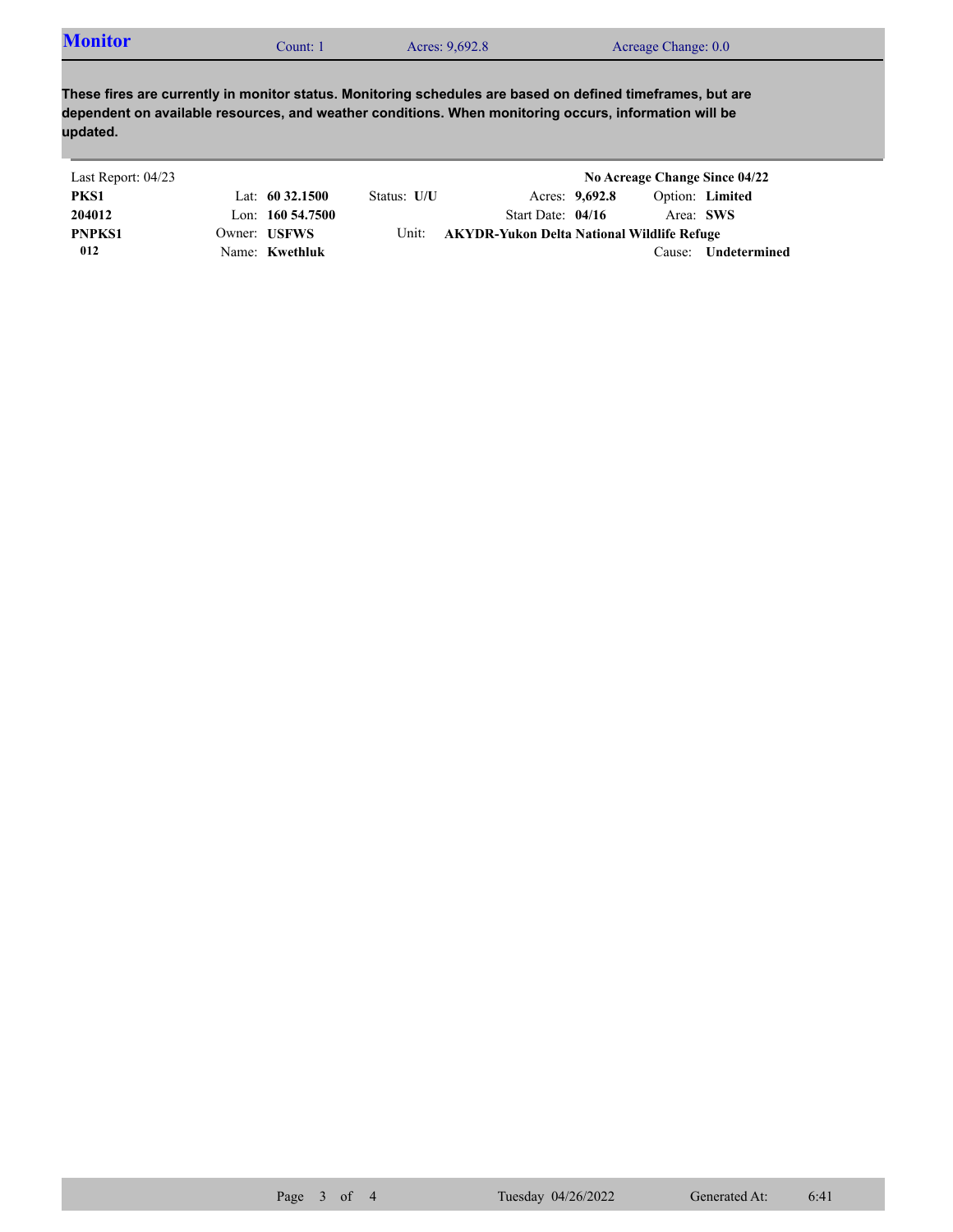**These fires are currently in monitor status. Monitoring schedules are based on defined timeframes, but are dependent on available resources, and weather conditions. When monitoring occurs, information will be updated.**

| Last Report: 04/23 |                       |             |                                            |                |        | No Acreage Change Since 04/22 |
|--------------------|-----------------------|-------------|--------------------------------------------|----------------|--------|-------------------------------|
| PKS1               | Lat: $60\,32.1500$    | Status: U/U |                                            | Acres: 9,692.8 |        | Option: Limited               |
| 204012             | Lon: $160\,54.7500$   |             | Start Date: $04/16$                        |                |        | Area: SWS                     |
| <b>PNPKS1</b>      | Owner: USFWS          | Unit:       | AKYDR-Yukon Delta National Wildlife Refuge |                |        |                               |
| 012                | Name: <b>Kwethluk</b> |             |                                            |                | Cause: | Undetermined                  |